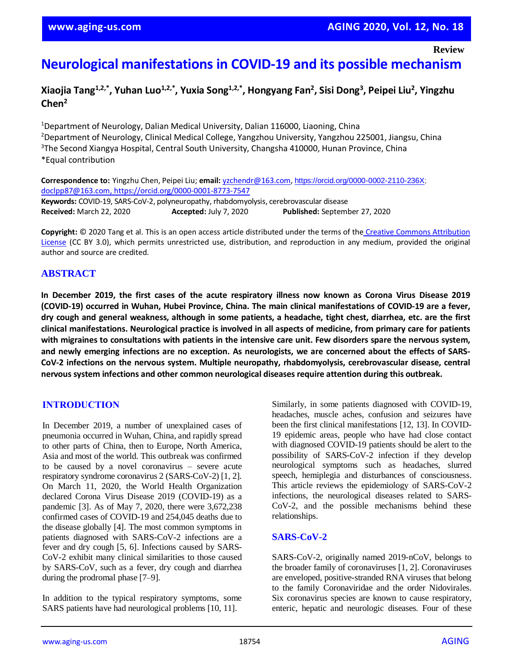**Review**

# **Neurological manifestations in COVID-19 and its possible mechanism**

**Xiaojia Tang1,2,\*, Yuhan Luo1,2,\*, Yuxia Song1,2,\*, Hongyang Fan<sup>2</sup> , Sisi Dong<sup>3</sup> , Peipei Liu<sup>2</sup> , Yingzhu Chen<sup>2</sup>**

<sup>1</sup>Department of Neurology, Dalian Medical University, Dalian 116000, Liaoning, China <sup>2</sup>Department of Neurology, Clinical Medical College, Yangzhou University, Yangzhou 225001, Jiangsu, China <sup>3</sup>The Second Xiangya Hospital, Central South University, Changsha 410000, Hunan Province, China \*Equal contribution

**Correspondence to:** Yingzhu Chen, Peipei Liu; **email:** [yzchendr@163.com,](mailto:yzchendr@163.com) [https://orcid.org/0000-0002-2110-236X;](https://orcid.org/0000-0002-2110-236X) [doclpp87@163.com,](mailto:doclpp87@163.com) https://orcid.org/0000-0001-8773-7547 **Keywords:** COVID-19, SARS-CoV-2, polyneuropathy, rhabdomyolysis, cerebrovascular disease **Received:** March 22, 2020 **Accepted:** July 7, 2020 **Published:** September 27, 2020

**Copyright:** © 2020 Tang et al. This is an open access article distributed under the terms of the [Creative Commons Attribution](https://creativecommons.org/licenses/by/3.0/)  [License](https://creativecommons.org/licenses/by/3.0/) (CC BY 3.0), which permits unrestricted use, distribution, and reproduction in any medium, provided the original author and source are credited.

# **ABSTRACT**

In December 2019, the first cases of the acute respiratory illness now known as Corona Virus Disease 2019 **(COVID-19) occurred in Wuhan, Hubei Province, China. The main clinical manifestations of COVID-19 are a fever,** dry cough and general weakness, although in some patients, a headache, tight chest, diarrhea, etc. are the first clinical manifestations. Neurological practice is involved in all aspects of medicine, from primary care for patients with migraines to consultations with patients in the intensive care unit. Few disorders spare the nervous system, and newly emerging infections are no exception. As neurologists, we are concerned about the effects of SARS-**CoV-2 infections on the nervous system. Multiple neuropathy, rhabdomyolysis, cerebrovascular disease, central nervous system infections and other common neurological diseases require attention during this outbreak.**

# **INTRODUCTION**

In December 2019, a number of unexplained cases of pneumonia occurred in Wuhan, China, and rapidly spread to other parts of China, then to Europe, North America, Asia and most of the world. This outbreak was confirmed to be caused by a novel coronavirus – severe acute respiratory syndrome coronavirus 2 (SARS-CoV-2) [1, 2]. On March 11, 2020, the World Health Organization declared Corona Virus Disease 2019 (COVID-19) as a pandemic [3]. As of May 7, 2020, there were 3,672,238 confirmed cases of COVID-19 and 254,045 deaths due to the disease globally [4]. The most common symptoms in patients diagnosed with SARS-CoV-2 infections are a fever and dry cough [5, 6]. Infections caused by SARS-CoV-2 exhibit many clinical similarities to those caused by SARS-CoV, such as a fever, dry cough and diarrhea during the prodromal phase [7–9].

In addition to the typical respiratory symptoms, some SARS patients have had neurological problems [10, 11].

Similarly, in some patients diagnosed with COVID-19, headaches, muscle aches, confusion and seizures have been the first clinical manifestations [12, 13]. In COVID-19 epidemic areas, people who have had close contact with diagnosed COVID-19 patients should be alert to the possibility of SARS-CoV-2 infection if they develop neurological symptoms such as headaches, slurred speech, hemiplegia and disturbances of consciousness. This article reviews the epidemiology of SARS-CoV-2 infections, the neurological diseases related to SARS-CoV-2, and the possible mechanisms behind these relationships.

### **SARS-CoV-2**

SARS-CoV-2, originally named 2019-nCoV, belongs to the broader family of coronaviruses [1, 2]. Coronaviruses are enveloped, positive-stranded RNA viruses that belong to the family Coronaviridae and the order Nidovirales. Six coronavirus species are known to cause respiratory, enteric, hepatic and neurologic diseases. Four of these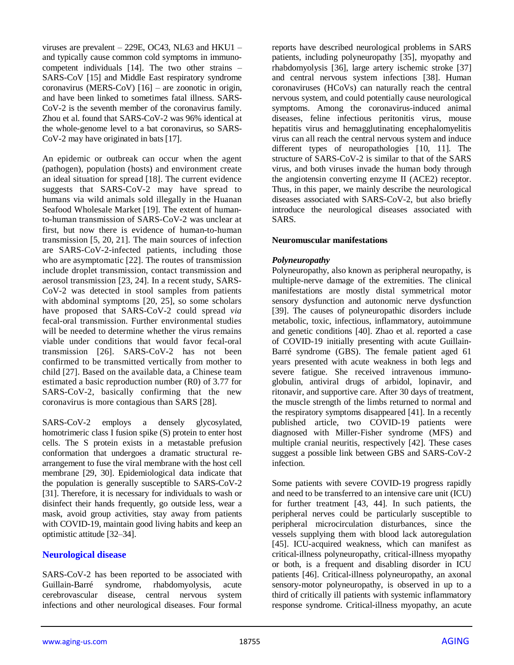viruses are prevalent  $-$  229E, OC43, NL63 and HKU1  $$ and typically cause common cold symptoms in immunocompetent individuals [14]. The two other strains – SARS-CoV [15] and Middle East respiratory syndrome coronavirus (MERS-CoV) [16] – are zoonotic in origin, and have been linked to sometimes fatal illness. SARS-CoV-2 is the seventh member of the coronavirus family. Zhou et al. found that SARS-CoV-2 was 96% identical at the whole-genome level to a bat coronavirus, so SARS-CoV-2 may have originated in bats [17].

An epidemic or outbreak can occur when the agent (pathogen), population (hosts) and environment create an ideal situation for spread [18]. The current evidence suggests that SARS-CoV-2 may have spread to humans via wild animals sold illegally in the Huanan Seafood Wholesale Market [19]. The extent of humanto-human transmission of SARS-CoV-2 was unclear at first, but now there is evidence of human-to-human transmission [5, 20, 21]. The main sources of infection are SARS-CoV-2-infected patients, including those who are asymptomatic [22]. The routes of transmission include droplet transmission, contact transmission and aerosol transmission [23, 24]. In a recent study, SARS-CoV-2 was detected in stool samples from patients with abdominal symptoms [20, 25], so some scholars have proposed that SARS-CoV-2 could spread *via* fecal-oral transmission. Further environmental studies will be needed to determine whether the virus remains viable under conditions that would favor fecal-oral transmission [26]. SARS-CoV-2 has not been confirmed to be transmitted vertically from mother to child [27]. Based on the available data, a Chinese team estimated a basic reproduction number (R0) of 3.77 for SARS-CoV-2, basically confirming that the new coronavirus is more contagious than SARS [28].

SARS-CoV-2 employs a densely glycosylated, homotrimeric class I fusion spike (S) protein to enter host cells. The S protein exists in a metastable prefusion conformation that undergoes a dramatic structural rearrangement to fuse the viral membrane with the host cell membrane [29, 30]. Epidemiological data indicate that the population is generally susceptible to SARS-CoV-2 [31]. Therefore, it is necessary for individuals to wash or disinfect their hands frequently, go outside less, wear a mask, avoid group activities, stay away from patients with COVID-19, maintain good living habits and keep an optimistic attitude [32–34].

#### **Neurological disease**

SARS-CoV-2 has been reported to be associated with Guillain-Barré syndrome, rhabdomyolysis, acute cerebrovascular disease, central nervous system infections and other neurological diseases. Four formal reports have described neurological problems in SARS patients, including polyneuropathy [35], myopathy and rhabdomyolysis [36], large artery ischemic stroke [37] and central nervous system infections [38]. Human coronaviruses (HCoVs) can naturally reach the central nervous system, and could potentially cause neurological symptoms. Among the coronavirus-induced animal diseases, feline infectious peritonitis virus, mouse hepatitis virus and hemagglutinating encephalomyelitis virus can all reach the central nervous system and induce different types of neuropathologies [10, 11]. The structure of SARS-CoV-2 is similar to that of the SARS virus, and both viruses invade the human body through the angiotensin converting enzyme II (ACE2) receptor. Thus, in this paper, we mainly describe the neurological diseases associated with SARS-CoV-2, but also briefly introduce the neurological diseases associated with **SARS**.

#### **Neuromuscular manifestations**

#### *Polyneuropathy*

Polyneuropathy, also known as peripheral neuropathy, is multiple-nerve damage of the extremities. The clinical manifestations are mostly distal symmetrical motor sensory dysfunction and autonomic nerve dysfunction [39]. The causes of polyneuropathic disorders include metabolic, toxic, infectious, inflammatory, autoimmune and genetic conditions [40]. Zhao et al. reported a case of COVID-19 initially presenting with acute Guillain-Barré syndrome (GBS). The female patient aged 61 years presented with acute weakness in both legs and severe fatigue. She received intravenous immunoglobulin, antiviral drugs of arbidol, lopinavir, and ritonavir, and supportive care. After 30 days of treatment, the muscle strength of the limbs returned to normal and the respiratory symptoms disappeared [41]. In a recently published article, two COVID-19 patients were diagnosed with Miller-Fisher syndrome (MFS) and multiple cranial neuritis, respectively [42]. These cases suggest a possible link between GBS and SARS-CoV-2 infection.

Some patients with severe COVID-19 progress rapidly and need to be transferred to an intensive care unit (ICU) for further treatment [43, 44]. In such patients, the peripheral nerves could be particularly susceptible to peripheral microcirculation disturbances, since the vessels supplying them with blood lack autoregulation [45]. ICU-acquired weakness, which can manifest as critical-illness polyneuropathy, critical-illness myopathy or both, is a frequent and disabling disorder in ICU patients [46]. Critical-illness polyneuropathy, an axonal sensory-motor polyneuropathy, is observed in up to a third of critically ill patients with systemic inflammatory response syndrome. Critical-illness myopathy, an acute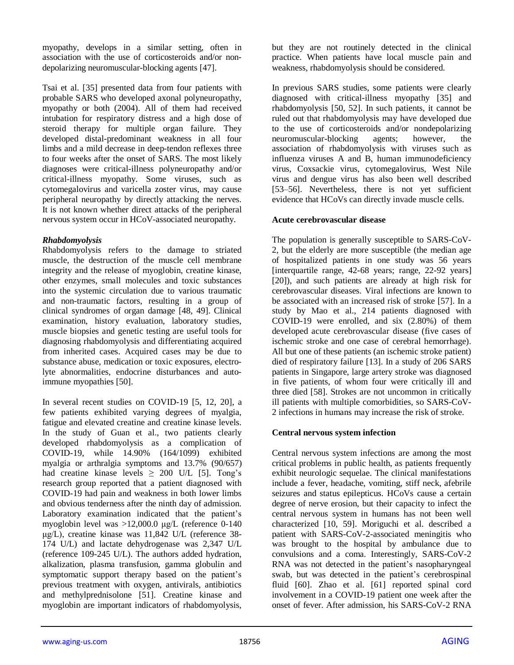myopathy, develops in a similar setting, often in association with the use of corticosteroids and/or nondepolarizing neuromuscular-blocking agents [47].

Tsai et al. [35] presented data from four patients with probable SARS who developed axonal polyneuropathy, myopathy or both (2004). All of them had received intubation for respiratory distress and a high dose of steroid therapy for multiple organ failure. They developed distal-predominant weakness in all four limbs and a mild decrease in deep-tendon reflexes three to four weeks after the onset of SARS. The most likely diagnoses were critical-illness polyneuropathy and/or critical-illness myopathy. Some viruses, such as cytomegalovirus and varicella zoster virus, may cause peripheral neuropathy by directly attacking the nerves. It is not known whether direct attacks of the peripheral nervous system occur in HCoV-associated neuropathy.

## *Rhabdomyolysis*

Rhabdomyolysis refers to the damage to striated muscle, the destruction of the muscle cell membrane integrity and the release of myoglobin, creatine kinase, other enzymes, small molecules and toxic substances into the systemic circulation due to various traumatic and non-traumatic factors, resulting in a group of clinical syndromes of organ damage [48, 49]. Clinical examination, history evaluation, laboratory studies, muscle biopsies and genetic testing are useful tools for diagnosing rhabdomyolysis and differentiating acquired from inherited cases. Acquired cases may be due to substance abuse, medication or toxic exposures, electrolyte abnormalities, endocrine disturbances and autoimmune myopathies [50].

In several recent studies on COVID-19 [5, 12, 20], a few patients exhibited varying degrees of myalgia, fatigue and elevated creatine and creatine kinase levels. In the study of Guan et al., two patients clearly developed rhabdomyolysis as a complication of COVID-19, while 14.90% (164/1099) exhibited myalgia or arthralgia symptoms and 13.7% (90/657) had creatine kinase levels  $\geq$  200 U/L [5]. Tong's research group reported that a patient diagnosed with COVID-19 had pain and weakness in both lower limbs and obvious tenderness after the ninth day of admission. Laboratory examination indicated that the patient's myoglobin level was >12,000.0 μg/L (reference 0-140 μg/L), creatine kinase was 11,842 U/L (reference 38- 174 U/L) and lactate dehydrogenase was 2,347 U/L (reference 109-245 U/L). The authors added hydration, alkalization, plasma transfusion, gamma globulin and symptomatic support therapy based on the patient's previous treatment with oxygen, antivirals, antibiotics and methylprednisolone [51]. Creatine kinase and myoglobin are important indicators of rhabdomyolysis,

but they are not routinely detected in the clinical practice. When patients have local muscle pain and weakness, rhabdomyolysis should be considered.

In previous SARS studies, some patients were clearly diagnosed with critical-illness myopathy [35] and rhabdomyolysis [50, 52]. In such patients, it cannot be ruled out that rhabdomyolysis may have developed due to the use of corticosteroids and/or nondepolarizing neuromuscular-blocking agents; however, the association of rhabdomyolysis with viruses such as influenza viruses A and B, human immunodeficiency virus, Coxsackie virus, cytomegalovirus, West Nile virus and dengue virus has also been well described [53–56]. Nevertheless, there is not yet sufficient evidence that HCoVs can directly invade muscle cells.

## **Acute cerebrovascular disease**

The population is generally susceptible to SARS-CoV-2, but the elderly are more susceptible (the median age of hospitalized patients in one study was 56 years [interquartile range, 42-68 years; range, 22-92 years] [20]), and such patients are already at high risk for cerebrovascular diseases. Viral infections are known to be associated with an increased risk of stroke [57]. In a study by Mao et al., 214 patients diagnosed with COVID-19 were enrolled, and six (2.80%) of them developed acute cerebrovascular disease (five cases of ischemic stroke and one case of cerebral hemorrhage). All but one of these patients (an ischemic stroke patient) died of respiratory failure [13]. In a study of 206 SARS patients in Singapore, large artery stroke was diagnosed in five patients, of whom four were critically ill and three died [58]. Strokes are not uncommon in critically ill patients with multiple comorbidities, so SARS-CoV-2 infections in humans may increase the risk of stroke.

#### **Central nervous system infection**

Central nervous system infections are among the most critical problems in public health, as patients frequently exhibit neurologic sequelae. The clinical manifestations include a fever, headache, vomiting, stiff neck, afebrile seizures and status epilepticus. HCoVs cause a certain degree of nerve erosion, but their capacity to infect the central nervous system in humans has not been well characterized [10, 59]. Moriguchi et al. described a patient with SARS-CoV-2-associated meningitis who was brought to the hospital by ambulance due to convulsions and a coma. Interestingly, SARS-CoV-2 RNA was not detected in the patient's nasopharyngeal swab, but was detected in the patient's cerebrospinal fluid [60]. Zhao et al. [61] reported spinal cord involvement in a COVID-19 patient one week after the onset of fever. After admission, his SARS-CoV-2 RNA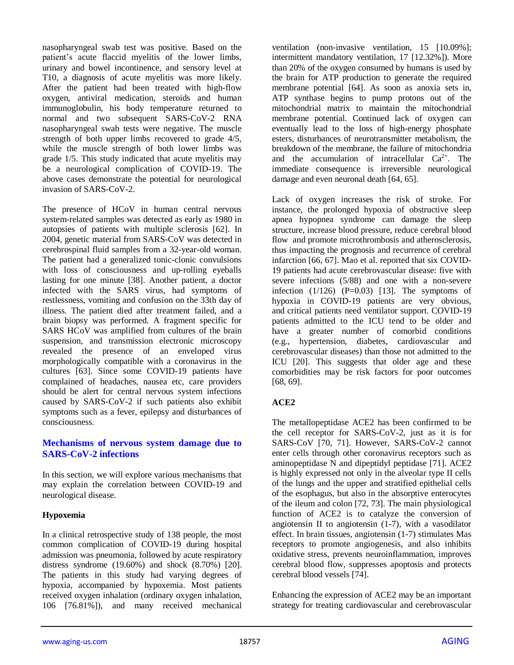nasopharyngeal swab test was positive. Based on the patient's acute flaccid myelitis of the lower limbs, urinary and bowel incontinence, and sensory level at T10, a diagnosis of acute myelitis was more likely. After the patient had been treated with high-flow oxygen, antiviral medication, steroids and human immunoglobulin, his body temperature returned to normal and two subsequent SARS-CoV-2 RNA nasopharyngeal swab tests were negative. The muscle strength of both upper limbs recovered to grade 4/5, while the muscle strength of both lower limbs was grade 1/5. This study indicated that acute myelitis may be a neurological complication of COVID-19. The above cases demonstrate the potential for neurological invasion of SARS-CoV-2.

The presence of HCoV in human central nervous system-related samples was detected as early as 1980 in autopsies of patients with multiple sclerosis [62]. In 2004, genetic material from SARS-CoV was detected in cerebrospinal fluid samples from a 32-year-old woman. The patient had a generalized tonic-clonic convulsions with loss of consciousness and up-rolling eyeballs lasting for one minute [38]. Another patient, a doctor infected with the SARS virus, had symptoms of restlessness, vomiting and confusion on the 33th day of illness. The patient died after treatment failed, and a brain biopsy was performed. A fragment specific for SARS HCoV was amplified from cultures of the brain suspension, and transmission electronic microscopy revealed the presence of an enveloped virus morphologically compatible with a coronavirus in the cultures [63]. Since some COVID-19 patients have complained of headaches, nausea etc, care providers should be alert for central nervous system infections caused by SARS-CoV-2 if such patients also exhibit symptoms such as a fever, epilepsy and disturbances of consciousness.

## **Mechanisms of nervous system damage due to SARS-CoV-2 infections**

In this section, we will explore various mechanisms that may explain the correlation between COVID-19 and neurological disease.

# **Hypoxemia**

In a clinical retrospective study of 138 people, the most common complication of COVID-19 during hospital admission was pneumonia, followed by acute respiratory distress syndrome (19.60%) and shock (8.70%) [20]. The patients in this study had varying degrees of hypoxia, accompanied by hypoxemia. Most patients received oxygen inhalation (ordinary oxygen inhalation, 106 [76.81%]), and many received mechanical

ventilation (non-invasive ventilation, 15 [10.09%]; intermittent mandatory ventilation, 17 [12.32%]). More than 20% of the oxygen consumed by humans is used by the brain for ATP production to generate the required membrane potential [64]. As soon as anoxia sets in, ATP synthase begins to pump protons out of the mitochondrial matrix to maintain the mitochondrial membrane potential. Continued lack of oxygen can eventually lead to the loss of high-energy phosphate esters, disturbances of neurotransmitter metabolism, the breakdown of the membrane, the failure of mitochondria and the accumulation of intracellular  $Ca^{2+}$ . The immediate consequence is irreversible neurological damage and even neuronal death [64, 65].

Lack of oxygen increases the risk of stroke. For instance, the prolonged hypoxia of obstructive sleep apnea hypopnea syndrome can damage the sleep structure, increase blood pressure, reduce cerebral blood flow and promote microthrombosis and atherosclerosis, thus impacting the prognosis and recurrence of cerebral infarction [66, 67]. Mao et al. reported that six COVID-19 patients had acute cerebrovascular disease: five with severe infections (5/88) and one with a non-severe infection  $(1/126)$   $(P=0.03)$  [13]. The symptoms of hypoxia in COVID-19 patients are very obvious, and critical patients need ventilator support. COVID-19 patients admitted to the ICU tend to be older and have a greater number of comorbid conditions (e.g., hypertension, diabetes, cardiovascular and cerebrovascular diseases) than those not admitted to the ICU [20]. This suggests that older age and these comorbidities may be risk factors for poor outcomes [68, 69].

#### **ACE2**

The metallopeptidase ACE2 has been confirmed to be the cell receptor for SARS-CoV-2, just as it is for SARS-CoV [70, 71]. However, SARS-CoV-2 cannot enter cells through other coronavirus receptors such as aminopeptidase N and dipeptidyl peptidase [71]. ACE2 is highly expressed not only in the alveolar type II cells of the lungs and the upper and stratified epithelial cells of the esophagus, but also in the absorptive enterocytes of the ileum and colon [72, 73]. The main physiological function of ACE2 is to catalyze the conversion of angiotensin II to angiotensin (1-7), with a vasodilator effect. In brain tissues, angiotensin (1-7) stimulates Mas receptors to promote angiogenesis, and also inhibits oxidative stress, prevents neuroinflammation, improves cerebral blood flow, suppresses apoptosis and protects cerebral blood vessels [74].

Enhancing the expression of ACE2 may be an important strategy for treating cardiovascular and cerebrovascular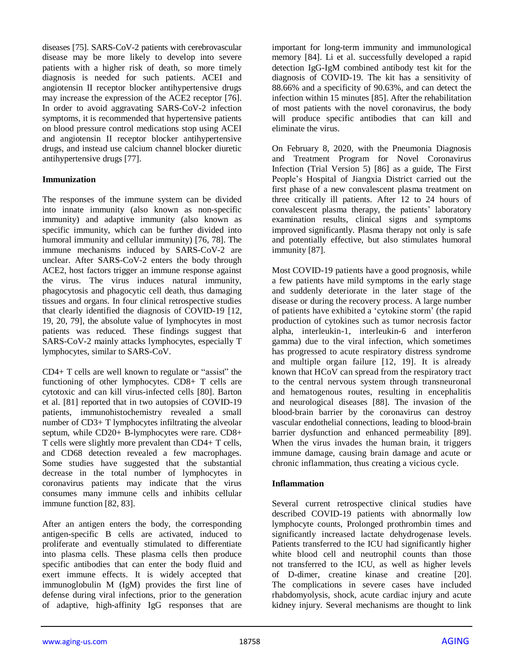diseases [75]. SARS-CoV-2 patients with cerebrovascular disease may be more likely to develop into severe patients with a higher risk of death, so more timely diagnosis is needed for such patients. ACEI and angiotensin II receptor blocker antihypertensive drugs may increase the expression of the ACE2 receptor [76]. In order to avoid aggravating SARS-CoV-2 infection symptoms, it is recommended that hypertensive patients on blood pressure control medications stop using ACEI and angiotensin II receptor blocker antihypertensive drugs, and instead use calcium channel blocker diuretic antihypertensive drugs [77].

#### **Immunization**

The responses of the immune system can be divided into innate immunity (also known as non-specific immunity) and adaptive immunity (also known as specific immunity, which can be further divided into humoral immunity and cellular immunity) [76, 78]. The immune mechanisms induced by SARS-CoV-2 are unclear. After SARS-CoV-2 enters the body through ACE2, host factors trigger an immune response against the virus. The virus induces natural immunity, phagocytosis and phagocytic cell death, thus damaging tissues and organs. In four clinical retrospective studies that clearly identified the diagnosis of COVID-19 [12, 19, 20, 79], the absolute value of lymphocytes in most patients was reduced. These findings suggest that SARS-CoV-2 mainly attacks lymphocytes, especially T lymphocytes, similar to SARS-CoV.

CD4+ T cells are well known to regulate or "assist" the functioning of other lymphocytes. CD8+ T cells are cytotoxic and can kill virus-infected cells [80]. Barton et al. [81] reported that in two autopsies of COVID-19 patients, immunohistochemistry revealed a small number of CD3+ T lymphocytes infiltrating the alveolar septum, while CD20+ B-lymphocytes were rare. CD8+ T cells were slightly more prevalent than CD4+ T cells, and CD68 detection revealed a few macrophages. Some studies have suggested that the substantial decrease in the total number of lymphocytes in coronavirus patients may indicate that the virus consumes many immune cells and inhibits cellular immune function [82, 83].

After an antigen enters the body, the corresponding antigen-specific B cells are activated, induced to proliferate and eventually stimulated to differentiate into plasma cells. These plasma cells then produce specific antibodies that can enter the body fluid and exert immune effects. It is widely accepted that immunoglobulin M (IgM) provides the first line of defense during viral infections, prior to the generation of adaptive, high-affinity IgG responses that are

important for long-term immunity and immunological memory [84]. Li et al. successfully developed a rapid detection IgG-IgM combined antibody test kit for the diagnosis of COVID-19. The kit has a sensitivity of 88.66% and a specificity of 90.63%, and can detect the infection within 15 minutes [85]. After the rehabilitation of most patients with the novel coronavirus, the body will produce specific antibodies that can kill and eliminate the virus.

On February 8, 2020, with the Pneumonia Diagnosis and Treatment Program for Novel Coronavirus Infection (Trial Version 5) [86] as a guide, The First People's Hospital of Jiangxia District carried out the first phase of a new convalescent plasma treatment on three critically ill patients. After 12 to 24 hours of convalescent plasma therapy, the patients' laboratory examination results, clinical signs and symptoms improved significantly. Plasma therapy not only is safe and potentially effective, but also stimulates humoral immunity [87].

Most COVID-19 patients have a good prognosis, while a few patients have mild symptoms in the early stage and suddenly deteriorate in the later stage of the disease or during the recovery process. A large number of patients have exhibited a 'cytokine storm' (the rapid production of cytokines such as tumor necrosis factor alpha, interleukin-1, interleukin-6 and interferon gamma) due to the viral infection, which sometimes has progressed to acute respiratory distress syndrome and multiple organ failure [12, 19]. It is already known that HCoV can spread from the respiratory tract to the central nervous system through transneuronal and hematogenous routes, resulting in encephalitis and neurological diseases [88]. The invasion of the blood-brain barrier by the coronavirus can destroy vascular endothelial connections, leading to blood-brain barrier dysfunction and enhanced permeability [89]. When the virus invades the human brain, it triggers immune damage, causing brain damage and acute or chronic inflammation, thus creating a vicious cycle.

# **Inflammation**

Several current retrospective clinical studies have described COVID-19 patients with abnormally low lymphocyte counts, Prolonged prothrombin times and significantly increased lactate dehydrogenase levels. Patients transferred to the ICU had significantly higher white blood cell and neutrophil counts than those not transferred to the ICU, as well as higher levels of D-dimer, creatine kinase and creatine [20]. The complications in severe cases have included rhabdomyolysis, shock, acute cardiac injury and acute kidney injury. Several mechanisms are thought to link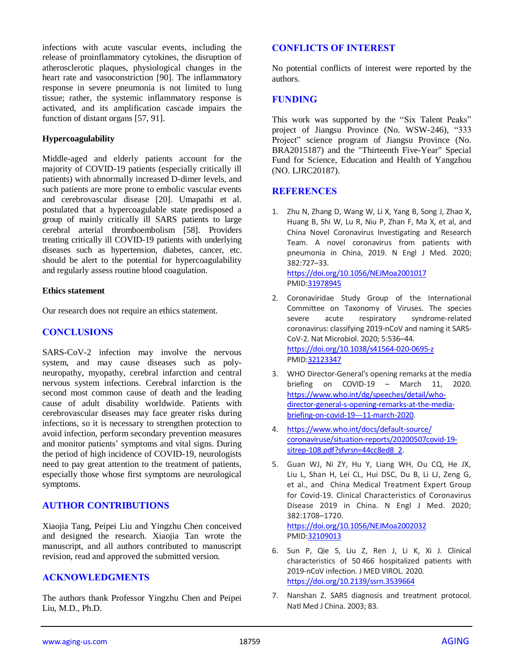infections with acute vascular events, including the release of proinflammatory cytokines, the disruption of atherosclerotic plaques, physiological changes in the heart rate and vasoconstriction [90]. The inflammatory response in severe pneumonia is not limited to lung tissue; rather, the systemic inflammatory response is activated, and its amplification cascade impairs the function of distant organs [57, 91].

## **Hypercoagulability**

Middle-aged and elderly patients account for the majority of COVID-19 patients (especially critically ill patients) with abnormally increased D-dimer levels, and such patients are more prone to embolic vascular events and cerebrovascular disease [20]. Umapathi et al. postulated that a hypercoagulable state predisposed a group of mainly critically ill SARS patients to large cerebral arterial thromboembolism [58]. Providers treating critically ill COVID-19 patients with underlying diseases such as hypertension, diabetes, cancer, etc. should be alert to the potential for hypercoagulability and regularly assess routine blood coagulation.

#### **Ethics statement**

Our research does not require an ethics statement.

### **CONCLUSIONS**

SARS-CoV-2 infection may involve the nervous system, and may cause diseases such as polyneuropathy, myopathy, cerebral infarction and central nervous system infections. Cerebral infarction is the second most common cause of death and the leading cause of adult disability worldwide. Patients with cerebrovascular diseases may face greater risks during infections, so it is necessary to strengthen protection to avoid infection, perform secondary prevention measures and monitor patients' symptoms and vital signs. During the period of high incidence of COVID-19, neurologists need to pay great attention to the treatment of patients, especially those whose first symptoms are neurological symptoms.

# **AUTHOR CONTRIBUTIONS**

Xiaojia Tang, Peipei Liu and Yingzhu Chen conceived and designed the research. Xiaojia Tan wrote the manuscript, and all authors contributed to manuscript revision, read and approved the submitted version.

# **ACKNOWLEDGMENTS**

The authors thank Professor Yingzhu Chen and Peipei Liu, M.D., Ph.D.

#### **CONFLICTS OF INTEREST**

No potential conflicts of interest were reported by the authors.

## **FUNDING**

This work was supported by the "Six Talent Peaks" project of Jiangsu Province (No. WSW-246), "333 Project" science program of Jiangsu Province (No. BRA2015187) and the "Thirteenth Five-Year" Special Fund for Science, Education and Health of Yangzhou (NO. LJRC20187).

## **REFERENCES**

1. Zhu N, Zhang D, Wang W, Li X, Yang B, Song J, Zhao X, Huang B, Shi W, Lu R, Niu P, Zhan F, Ma X, et al, and China Novel Coronavirus Investigating and Research Team. A novel coronavirus from patients with pneumonia in China, 2019. N Engl J Med. 2020; 382:727–33. <https://doi.org/10.1056/NEJMoa2001017>

PMID: 31978945

- 2. Coronaviridae Study Group of the International Committee on Taxonomy of Viruses. The species severe acute respiratory syndrome-related coronavirus: classifying 2019-nCoV and naming it SARS-CoV-2. Nat Microbiol. 2020; 5:536–44. <https://doi.org/10.1038/s41564-020-0695-z> PMI[D:32123347](https://pubmed.ncbi.nlm.nih.gov/32123347)
- 3. WHO Director-General's opening remarks at the media briefing on COVID-19 – March 11, 2020. [https://www.who.int/dg/speeches/detail/who](https://www.who.int/dg/speeches/detail/who-director-general-s-opening-remarks-at-the-media-briefing-on-covid-19---11-march-2020)[director-general-s-opening-remarks-at-the-media](https://www.who.int/dg/speeches/detail/who-director-general-s-opening-remarks-at-the-media-briefing-on-covid-19---11-march-2020)[briefing-on-covid-19---11-march-2020.](https://www.who.int/dg/speeches/detail/who-director-general-s-opening-remarks-at-the-media-briefing-on-covid-19---11-march-2020)
- 4. [https://www.who.int/docs/default-source/](https://www.who.int/docs/default-source/coronaviruse/situation-reports/20200507covid-19-sitrep-108.pdf?sfvrsn=44cc8ed8_2) [coronaviruse/situation-reports/20200507covid-19](https://www.who.int/docs/default-source/coronaviruse/situation-reports/20200507covid-19-sitrep-108.pdf?sfvrsn=44cc8ed8_2) [sitrep-108.pdf?sfvrsn=44cc8ed8\\_2.](https://www.who.int/docs/default-source/coronaviruse/situation-reports/20200507covid-19-sitrep-108.pdf?sfvrsn=44cc8ed8_2)
- 5. Guan WJ, Ni ZY, Hu Y, Liang WH, Ou CQ, He JX, Liu L, Shan H, Lei CL, Hui DSC, Du B, Li LJ, Zeng G, et al., and China Medical Treatment Expert Group for Covid-19. Clinical Characteristics of Coronavirus Disease 2019 in China. N Engl J Med. 2020; 382:1708–1720. <https://doi.org/10.1056/NEJMoa2002032>

PMI[D:32109013](https://pubmed.ncbi.nlm.nih.gov/32109013)

- 6. Sun P, Qie S, Liu Z, Ren J, Li K, Xi J. Clinical characteristics of 50 466 hospitalized patients with 2019‐nCoV infection. J MED VIROL. 2020. <https://doi.org/10.2139/ssrn.3539664>
- 7. Nanshan Z. SARS diagnosis and treatment protocol. Natl Med J China. 2003; 83.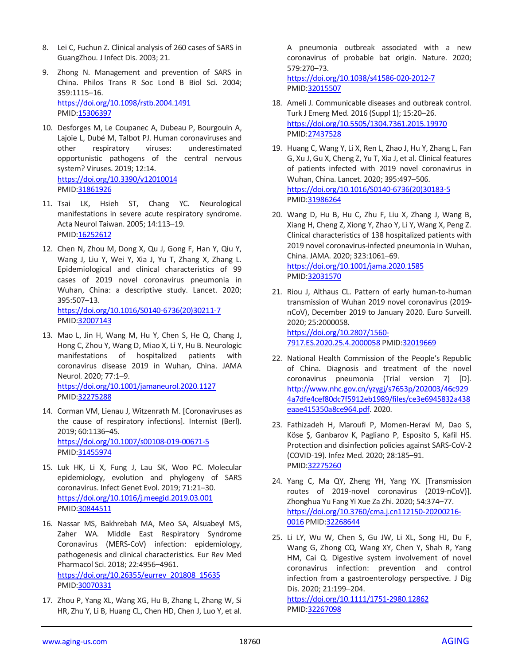- 8. Lei C, Fuchun Z. Clinical analysis of 260 cases of SARS in GuangZhou. J Infect Dis. 2003; 21.
- 9. Zhong N. Management and prevention of SARS in China. Philos Trans R Soc Lond B Biol Sci. 2004; 359:1115–16. <https://doi.org/10.1098/rstb.2004.1491> PMID[:15306397](https://pubmed.ncbi.nlm.nih.gov/15306397)
- 10. Desforges M, Le Coupanec A, Dubeau P, Bourgouin A, Lajoie L, Dubé M, Talbot PJ. Human coronaviruses and other respiratory viruses: underestimated opportunistic pathogens of the central nervous system? Viruses. 2019; 12:14. <https://doi.org/10.3390/v12010014> PMID[:31861926](https://pubmed.ncbi.nlm.nih.gov/31861926)
- 11. Tsai LK, Hsieh ST, Chang YC. Neurological manifestations in severe acute respiratory syndrome. Acta Neurol Taiwan. 2005; 14:113–19. PMID[:16252612](https://pubmed.ncbi.nlm.nih.gov/16252612)
- 12. Chen N, Zhou M, Dong X, Qu J, Gong F, Han Y, Qiu Y, Wang J, Liu Y, Wei Y, Xia J, Yu T, Zhang X, Zhang L. Epidemiological and clinical characteristics of 99 cases of 2019 novel coronavirus pneumonia in Wuhan, China: a descriptive study. Lancet. 2020; 395:507–13. [https://doi.org/10.1016/S0140-6736\(20\)30211-7](https://doi.org/10.1016/S0140-6736(20)30211-7)

PMID[:32007143](https://pubmed.ncbi.nlm.nih.gov/32007143)

- 13. Mao L, Jin H, Wang M, Hu Y, Chen S, He Q, Chang J, Hong C, Zhou Y, Wang D, Miao X, Li Y, Hu B. Neurologic manifestations of hospitalized patients with coronavirus disease 2019 in Wuhan, China. JAMA Neurol. 2020; 77:1–9. <https://doi.org/10.1001/jamaneurol.2020.1127> PMID[:32275288](https://pubmed.ncbi.nlm.nih.gov/32275288)
- 14. Corman VM, Lienau J, Witzenrath M. [Coronaviruses as the cause of respiratory infections]. Internist (Berl). 2019; 60:1136–45. <https://doi.org/10.1007/s00108-019-00671-5> PMID[:31455974](https://pubmed.ncbi.nlm.nih.gov/31455974)
- 15. Luk HK, Li X, Fung J, Lau SK, Woo PC. Molecular epidemiology, evolution and phylogeny of SARS coronavirus. Infect Genet Evol. 2019; 71:21–30. <https://doi.org/10.1016/j.meegid.2019.03.001> PMID[:30844511](https://pubmed.ncbi.nlm.nih.gov/30844511)
- 16. Nassar MS, Bakhrebah MA, Meo SA, Alsuabeyl MS, Zaher WA. Middle East Respiratory Syndrome Coronavirus (MERS-CoV) infection: epidemiology, pathogenesis and clinical characteristics. Eur Rev Med Pharmacol Sci. 2018; 22:4956–4961. [https://doi.org/10.26355/eurrev\\_201808\\_15635](https://doi.org/10.26355/eurrev_201808_15635) PMID[:30070331](https://pubmed.ncbi.nlm.nih.gov/30070331)
- 17. Zhou P, Yang XL, Wang XG, Hu B, Zhang L, Zhang W, Si HR, Zhu Y, Li B, Huang CL, Chen HD, Chen J, Luo Y, et al.

A pneumonia outbreak associated with a new coronavirus of probable bat origin. Nature. 2020; 579:270–73. <https://doi.org/10.1038/s41586-020-2012-7>

PMI[D:32015507](https://pubmed.ncbi.nlm.nih.gov/32015507)

- 18. Ameli J. Communicable diseases and outbreak control. Turk J Emerg Med. 2016 (Suppl 1); 15:20–26. <https://doi.org/10.5505/1304.7361.2015.19970> PMI[D:27437528](https://pubmed.ncbi.nlm.nih.gov/27437528)
- 19. Huang C, Wang Y, Li X, Ren L, Zhao J, Hu Y, Zhang L, Fan G, Xu J, Gu X, Cheng Z, Yu T, Xia J, et al. Clinical features of patients infected with 2019 novel coronavirus in Wuhan, China. Lancet. 2020; 395:497–506. [https://doi.org/10.1016/S0140-6736\(20\)30183-5](https://doi.org/10.1016/S0140-6736(20)30183-5) PMI[D:31986264](https://pubmed.ncbi.nlm.nih.gov/31986264)
- 20. Wang D, Hu B, Hu C, Zhu F, Liu X, Zhang J, Wang B, Xiang H, Cheng Z, Xiong Y, Zhao Y, Li Y, Wang X, Peng Z. Clinical characteristics of 138 hospitalized patients with 2019 novel coronavirus-infected pneumonia in Wuhan, China. JAMA. 2020; 323:1061–69. <https://doi.org/10.1001/jama.2020.1585> PMI[D:32031570](https://pubmed.ncbi.nlm.nih.gov/32031570)
- 21. Riou J, Althaus CL. Pattern of early human-to-human transmission of Wuhan 2019 novel coronavirus (2019 nCoV), December 2019 to January 2020. Euro Surveill. 2020; 25:2000058. [https://doi.org/10.2807/1560-](https://doi.org/10.2807/1560-7917.ES.2020.25.4.2000058) [7917.ES.2020.25.4.2000058](https://doi.org/10.2807/1560-7917.ES.2020.25.4.2000058) PMI[D:32019669](https://pubmed.ncbi.nlm.nih.gov/32019669)
- 22. National Health Commission of the People′s Republic of China. Diagnosis and treatment of the novel coronavirus pneumonia (Trial version 7) [D]. [http://www.nhc.gov.cn/yzygj/s7653p/202003/46c929](http://www.nhc.gov.cn/yzygj/s7653p/202003/46c9294a7dfe4cef80dc7f5912eb1989/files/ce3e6945832a438eaae415350a8ce964.pdf) [4a7dfe4cef80dc7f5912eb1989/files/ce3e6945832a438](http://www.nhc.gov.cn/yzygj/s7653p/202003/46c9294a7dfe4cef80dc7f5912eb1989/files/ce3e6945832a438eaae415350a8ce964.pdf) [eaae415350a8ce964.pdf.](http://www.nhc.gov.cn/yzygj/s7653p/202003/46c9294a7dfe4cef80dc7f5912eb1989/files/ce3e6945832a438eaae415350a8ce964.pdf) 2020.
- 23. Fathizadeh H, Maroufi P, Momen-Heravi M, Dao S, Köse Ş, Ganbarov K, Pagliano P, Esposito S, Kafil HS. Protection and disinfection policies against SARS-CoV-2 (COVID-19). Infez Med. 2020; 28:185–91. PMI[D:32275260](https://pubmed.ncbi.nlm.nih.gov/32275260)
- 24. Yang C, Ma QY, Zheng YH, Yang YX. [Transmission routes of 2019-novel coronavirus (2019-nCoV)]. Zhonghua Yu Fang Yi Xue Za Zhi. 2020; 54:374–77. [https://doi.org/10.3760/cma.j.cn112150-20200216-](https://doi.org/10.3760/cma.j.cn112150-20200216-0016) [0016](https://doi.org/10.3760/cma.j.cn112150-20200216-0016) PMI[D:32268644](https://pubmed.ncbi.nlm.nih.gov/32268644)
- 25. Li LY, Wu W, Chen S, Gu JW, Li XL, Song HJ, Du F, Wang G, Zhong CQ, Wang XY, Chen Y, Shah R, Yang HM, Cai Q. Digestive system involvement of novel coronavirus infection: prevention and control infection from a gastroenterology perspective. J Dig Dis. 2020; 21:199–204.

<https://doi.org/10.1111/1751-2980.12862> PMI[D:32267098](https://pubmed.ncbi.nlm.nih.gov/32267098)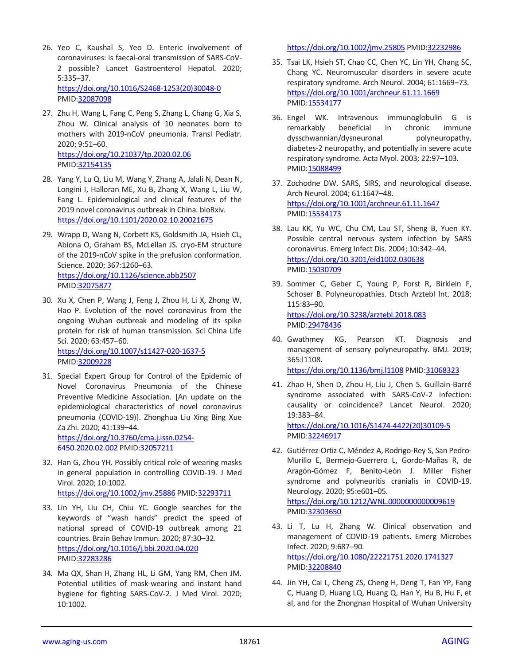- 26. Yeo C, Kaushal S, Yeo D. Enteric involvement of coronaviruses: is faecal-oral transmission of SARS-CoV-2 possible? Lancet Gastroenterol Hepatol. 2020; 5:335–37. [https://doi.org/10.1016/S2468-1253\(20\)30048-0](https://doi.org/10.1016/S2468-1253(20)30048-0) PMID[:32087098](https://pubmed.ncbi.nlm.nih.gov/32087098)
- 27. Zhu H, Wang L, Fang C, Peng S, Zhang L, Chang G, Xia S, Zhou W. Clinical analysis of 10 neonates born to mothers with 2019-nCoV pneumonia. Transl Pediatr. 2020; 9:51–60. <https://doi.org/10.21037/tp.2020.02.06> PMID[:32154135](https://pubmed.ncbi.nlm.nih.gov/32154135)
- 28. Yang Y, Lu Q, Liu M, Wang Y, Zhang A, Jalali N, Dean N, Longini I, Halloran ME, Xu B, Zhang X, Wang L, Liu W, Fang L. Epidemiological and clinical features of the 2019 novel coronavirus outbreak in China. bioRxiv. <https://doi.org/10.1101/2020.02.10.20021675>
- 29. Wrapp D, Wang N, Corbett KS, Goldsmith JA, Hsieh CL, Abiona O, Graham BS, McLellan JS. cryo-EM structure of the 2019-nCoV spike in the prefusion conformation. Science. 2020; 367:1260–63. <https://doi.org/10.1126/science.abb2507> PMID[:32075877](https://pubmed.ncbi.nlm.nih.gov/32075877)
- 30. Xu X, Chen P, Wang J, Feng J, Zhou H, Li X, Zhong W, Hao P. Evolution of the novel coronavirus from the ongoing Wuhan outbreak and modeling of its spike protein for risk of human transmission. Sci China Life Sci. 2020; 63:457–60. <https://doi.org/10.1007/s11427-020-1637-5> PMID[:32009228](https://pubmed.ncbi.nlm.nih.gov/32009228)
- 31. Special Expert Group for Control of the Epidemic of Novel Coronavirus Pneumonia of the Chinese Preventive Medicine Association. [An update on the epidemiological characteristics of novel coronavirus pneumonia (COVID-19)]. Zhonghua Liu Xing Bing Xue Za Zhi. 2020; 41:139–44. [https://doi.org/10.3760/cma.j.issn.0254-](https://doi.org/10.3760/cma.j.issn.0254-6450.2020.02.002)

[6450.2020.02.002](https://doi.org/10.3760/cma.j.issn.0254-6450.2020.02.002) PMID[:32057211](https://pubmed.ncbi.nlm.nih.gov/32057211)

- 32. Han G, Zhou YH. Possibly critical role of wearing masks in general population in controlling COVID-19. J Med Virol. 2020; 10:1002. <https://doi.org/10.1002/jmv.25886> PMI[D:32293711](https://pubmed.ncbi.nlm.nih.gov/32293711)
- 33. Lin YH, Liu CH, Chiu YC. Google searches for the keywords of "wash hands" predict the speed of national spread of COVID-19 outbreak among 21 countries. Brain Behav Immun. 2020; 87:30–32. <https://doi.org/10.1016/j.bbi.2020.04.020> PMID[:32283286](https://pubmed.ncbi.nlm.nih.gov/32283286)
- 34. Ma QX, Shan H, Zhang HL, Li GM, Yang RM, Chen JM. Potential utilities of mask-wearing and instant hand hygiene for fighting SARS-CoV-2. J Med Virol. 2020; 10:1002.

<https://doi.org/10.1002/jmv.25805> PMI[D:32232986](https://pubmed.ncbi.nlm.nih.gov/32232986)

- 35. Tsai LK, Hsieh ST, Chao CC, Chen YC, Lin YH, Chang SC, Chang YC. Neuromuscular disorders in severe acute respiratory syndrome. Arch Neurol. 2004; 61:1669–73. <https://doi.org/10.1001/archneur.61.11.1669> PMI[D:15534177](https://pubmed.ncbi.nlm.nih.gov/15534177)
- 36. Engel WK. Intravenous immunoglobulin G is remarkably beneficial in chronic immune dysschwannian/dysneuronal polyneuropathy, diabetes-2 neuropathy, and potentially in severe acute respiratory syndrome. Acta Myol. 2003; 22:97–103. PMI[D:15088499](https://pubmed.ncbi.nlm.nih.gov/15088499)
- 37. Zochodne DW. SARS, SIRS, and neurological disease. Arch Neurol. 2004; 61:1647–48. <https://doi.org/10.1001/archneur.61.11.1647> PMI[D:15534173](https://pubmed.ncbi.nlm.nih.gov/15534173)
- 38. Lau KK, Yu WC, Chu CM, Lau ST, Sheng B, Yuen KY. Possible central nervous system infection by SARS coronavirus. Emerg Infect Dis. 2004; 10:342–44. <https://doi.org/10.3201/eid1002.030638> PMI[D:15030709](https://pubmed.ncbi.nlm.nih.gov/15030709)
- 39. Sommer C, Geber C, Young P, Forst R, Birklein F, Schoser B. Polyneuropathies. Dtsch Arztebl Int. 2018; 115:83–90. <https://doi.org/10.3238/arztebl.2018.083> PMI[D:29478436](https://pubmed.ncbi.nlm.nih.gov/29478436)
- 40. Gwathmey KG, Pearson KT. Diagnosis and management of sensory polyneuropathy. BMJ. 2019; 365:l1108. <https://doi.org/10.1136/bmj.l1108> PMID[:31068323](https://pubmed.ncbi.nlm.nih.gov/31068323)
- 41. Zhao H, Shen D, Zhou H, Liu J, Chen S. Guillain-Barré syndrome associated with SARS-CoV-2 infection: causality or coincidence? Lancet Neurol. 2020; 19:383–84. [https://doi.org/10.1016/S1474-4422\(20\)30109-5](https://doi.org/10.1016/S1474-4422(20)30109-5) PMI[D:32246917](https://pubmed.ncbi.nlm.nih.gov/32246917)
- 42. Gutiérrez-Ortiz C, Méndez A, Rodrigo-Rey S, San Pedro-Murillo E, Bermejo-Guerrero L, Gordo-Mañas R, de Aragón-Gómez F, Benito-León J. Miller Fisher syndrome and polyneuritis cranialis in COVID-19. Neurology. 2020; 95:e601–05. <https://doi.org/10.1212/WNL.0000000000009619> PMI[D:32303650](https://pubmed.ncbi.nlm.nih.gov/32303650)
- 43. Li T, Lu H, Zhang W. Clinical observation and management of COVID-19 patients. Emerg Microbes Infect. 2020; 9:687–90. <https://doi.org/10.1080/22221751.2020.1741327> PMI[D:32208840](https://pubmed.ncbi.nlm.nih.gov/32208840)
- 44. Jin YH, Cai L, Cheng ZS, Cheng H, Deng T, Fan YP, Fang C, Huang D, Huang LQ, Huang Q, Han Y, Hu B, Hu F, et al, and for the Zhongnan Hospital of Wuhan University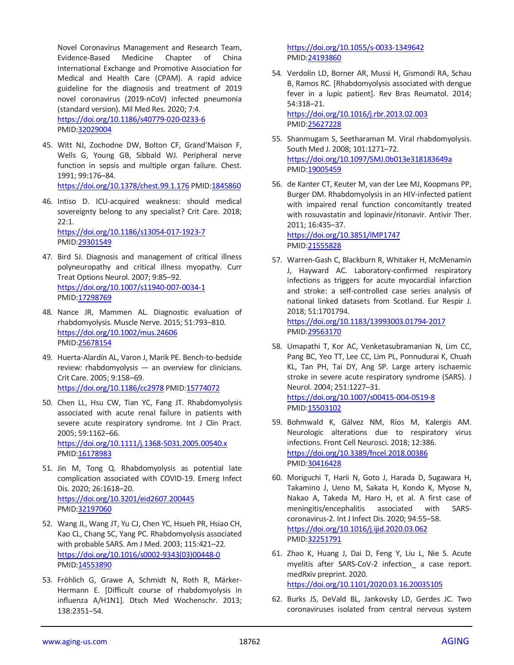Novel Coronavirus Management and Research Team, Evidence-Based Medicine Chapter of China International Exchange and Promotive Association for Medical and Health Care (CPAM). A rapid advice guideline for the diagnosis and treatment of 2019 novel coronavirus (2019-nCoV) infected pneumonia (standard version). Mil Med Res. 2020; 7:4. <https://doi.org/10.1186/s40779-020-0233-6> PMID[:32029004](https://pubmed.ncbi.nlm.nih.gov/32029004)

45. Witt NJ, Zochodne DW, Bolton CF, Grand'Maison F, Wells G, Young GB, Sibbald WJ. Peripheral nerve function in sepsis and multiple organ failure. Chest. 1991; 99:176–84. <https://doi.org/10.1378/chest.99.1.176> PMID[:1845860](https://pubmed.ncbi.nlm.nih.gov/1845860)

46. Intiso D. ICU-acquired weakness: should medical sovereignty belong to any specialist? Crit Care. 2018; 22:1. <https://doi.org/10.1186/s13054-017-1923-7>

PMID[:29301549](https://pubmed.ncbi.nlm.nih.gov/29301549)

- 47. Bird SJ. Diagnosis and management of critical illness polyneuropathy and critical illness myopathy. Curr Treat Options Neurol. 2007; 9:85–92. <https://doi.org/10.1007/s11940-007-0034-1> PMID[:17298769](https://pubmed.ncbi.nlm.nih.gov/17298769)
- 48. Nance JR, Mammen AL. Diagnostic evaluation of rhabdomyolysis. Muscle Nerve. 2015; 51:793–810. <https://doi.org/10.1002/mus.24606> PMID[:25678154](https://pubmed.ncbi.nlm.nih.gov/25678154)
- 49. Huerta-Alardín AL, Varon J, Marik PE. Bench-to-bedside review: rhabdomyolysis — an overview for clinicians. Crit Care. 2005; 9:158–69. <https://doi.org/10.1186/cc2978> PMID[:15774072](https://pubmed.ncbi.nlm.nih.gov/15774072)
- 50. Chen LL, Hsu CW, Tian YC, Fang JT. Rhabdomyolysis associated with acute renal failure in patients with severe acute respiratory syndrome. Int J Clin Pract. 2005; 59:1162–66. <https://doi.org/10.1111/j.1368-5031.2005.00540.x> PMID[:16178983](https://pubmed.ncbi.nlm.nih.gov/16178983)
- 51. Jin M, Tong Q. Rhabdomyolysis as potential late complication associated with COVID-19. Emerg Infect Dis. 2020; 26:1618–20. <https://doi.org/10.3201/eid2607.200445> PMID[:32197060](https://pubmed.ncbi.nlm.nih.gov/32197060)
- 52. Wang JL, Wang JT, Yu CJ, Chen YC, Hsueh PR, Hsiao CH, Kao CL, Chang SC, Yang PC. Rhabdomyolysis associated with probable SARS. Am J Med. 2003; 115:421–22. [https://doi.org/10.1016/s0002-9343\(03\)00448-0](https://doi.org/10.1016/s0002-9343(03)00448-0) PMID[:14553890](https://pubmed.ncbi.nlm.nih.gov/14553890)
- 53. Fröhlich G, Grawe A, Schmidt N, Roth R, Märker-Hermann E. [Difficult course of rhabdomyolysis in influenza A/H1N1]. Dtsch Med Wochenschr. 2013; 138:2351–54.

<https://doi.org/10.1055/s-0033-1349642> PMI[D:24193860](https://pubmed.ncbi.nlm.nih.gov/24193860)

54. Verdolin LD, Borner AR, Mussi H, Gismondi RA, Schau B, Ramos RC. [Rhabdomyolysis associated with dengue fever in a lupic patient]. Rev Bras Reumatol. 2014; 54:318–21.

<https://doi.org/10.1016/j.rbr.2013.02.003> PMI[D:25627228](https://pubmed.ncbi.nlm.nih.gov/25627228)

- 55. Shanmugam S, Seetharaman M. Viral rhabdomyolysis. South Med J. 2008; 101:1271–72. <https://doi.org/10.1097/SMJ.0b013e318183649a> PMI[D:19005459](https://pubmed.ncbi.nlm.nih.gov/19005459)
- 56. de Kanter CT, Keuter M, van der Lee MJ, Koopmans PP, Burger DM. Rhabdomyolysis in an HIV-infected patient with impaired renal function concomitantly treated with rosuvastatin and lopinavir/ritonavir. Antivir Ther. 2011; 16:435–37. <https://doi.org/10.3851/IMP1747>

PMI[D:21555828](https://pubmed.ncbi.nlm.nih.gov/21555828)

57. Warren-Gash C, Blackburn R, Whitaker H, McMenamin J, Hayward AC. Laboratory-confirmed respiratory infections as triggers for acute myocardial infarction and stroke: a self-controlled case series analysis of national linked datasets from Scotland. Eur Respir J. 2018; 51:1701794. <https://doi.org/10.1183/13993003.01794-2017>

PMI[D:29563170](https://pubmed.ncbi.nlm.nih.gov/29563170)

- 58. Umapathi T, Kor AC, Venketasubramanian N, Lim CC, Pang BC, Yeo TT, Lee CC, Lim PL, Ponnudurai K, Chuah KL, Tan PH, Tai DY, Ang SP. Large artery ischaemic stroke in severe acute respiratory syndrome (SARS). J Neurol. 2004; 251:1227–31. <https://doi.org/10.1007/s00415-004-0519-8> PMI[D:15503102](https://pubmed.ncbi.nlm.nih.gov/15503102)
- 59. Bohmwald K, Gálvez NM, Ríos M, Kalergis AM. Neurologic alterations due to respiratory virus infections. Front Cell Neurosci. 2018; 12:386. <https://doi.org/10.3389/fncel.2018.00386> PMI[D:30416428](https://pubmed.ncbi.nlm.nih.gov/30416428)
- 60. Moriguchi T, Harii N, Goto J, Harada D, Sugawara H, Takamino J, Ueno M, Sakata H, Kondo K, Myose N, Nakao A, Takeda M, Haro H, et al. A first case of meningitis/encephalitis associated with SARScoronavirus-2. Int J Infect Dis. 2020; 94:55–58. <https://doi.org/10.1016/j.ijid.2020.03.062> PMI[D:32251791](https://pubmed.ncbi.nlm.nih.gov/32251791)
- 61. Zhao K, Huang J, Dai D, Feng Y, Liu L, Nie S. Acute myelitis after SARS-CoV-2 infection\_ a case report. medRxiv preprint. 2020. <https://doi.org/10.1101/2020.03.16.20035105>
- 62. Burks JS, DeVald BL, Jankovsky LD, Gerdes JC. Two coronaviruses isolated from central nervous system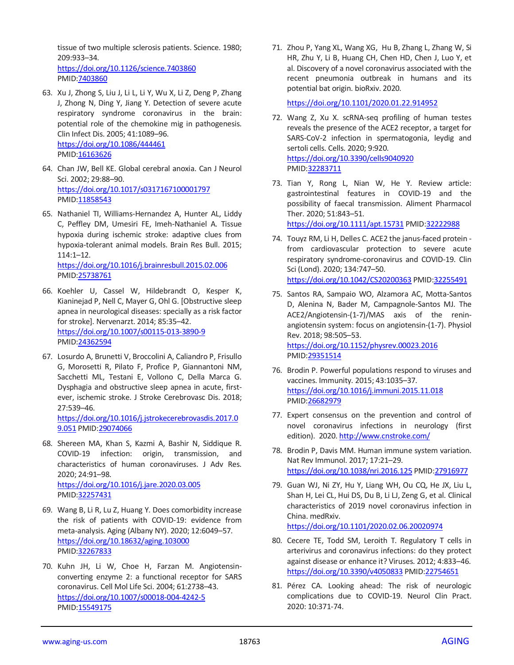tissue of two multiple sclerosis patients. Science. 1980; 209:933–34.

<https://doi.org/10.1126/science.7403860> PMID[:7403860](https://pubmed.ncbi.nlm.nih.gov/7403860)

- 63. Xu J, Zhong S, Liu J, Li L, Li Y, Wu X, Li Z, Deng P, Zhang J, Zhong N, Ding Y, Jiang Y. Detection of severe acute respiratory syndrome coronavirus in the brain: potential role of the chemokine mig in pathogenesis. Clin Infect Dis. 2005; 41:1089–96. <https://doi.org/10.1086/444461> PMID[:16163626](https://pubmed.ncbi.nlm.nih.gov/16163626)
- 64. Chan JW, Bell KE. Global cerebral anoxia. Can J Neurol Sci. 2002; 29:88–90. <https://doi.org/10.1017/s0317167100001797> PMID[:11858543](https://pubmed.ncbi.nlm.nih.gov/11858543)
- 65. Nathaniel TI, Williams-Hernandez A, Hunter AL, Liddy C, Peffley DM, Umesiri FE, Imeh-Nathaniel A. Tissue hypoxia during ischemic stroke: adaptive clues from hypoxia-tolerant animal models. Brain Res Bull. 2015; 114:1–12. <https://doi.org/10.1016/j.brainresbull.2015.02.006>

PMID[:25738761](https://pubmed.ncbi.nlm.nih.gov/25738761)

- 66. Koehler U, Cassel W, Hildebrandt O, Kesper K, Kianinejad P, Nell C, Mayer G, Ohl G. [Obstructive sleep apnea in neurological diseases: specially as a risk factor for stroke]. Nervenarzt. 2014; 85:35–42. <https://doi.org/10.1007/s00115-013-3890-9> PMID[:24362594](https://pubmed.ncbi.nlm.nih.gov/24362594)
- 67. Losurdo A, Brunetti V, Broccolini A, Caliandro P, Frisullo G, Morosetti R, Pilato F, Profice P, Giannantoni NM, Sacchetti ML, Testani E, Vollono C, Della Marca G. Dysphagia and obstructive sleep apnea in acute, firstever, ischemic stroke. J Stroke Cerebrovasc Dis. 2018; 27:539–46. [https://doi.org/10.1016/j.jstrokecerebrovasdis.2017.0](https://doi.org/10.1016/j.jstrokecerebrovasdis.2017.09.051)

[9.051](https://doi.org/10.1016/j.jstrokecerebrovasdis.2017.09.051) PMID[:29074066](https://pubmed.ncbi.nlm.nih.gov/29074066)

- 68. Shereen MA, Khan S, Kazmi A, Bashir N, Siddique R. COVID-19 infection: origin, transmission, and characteristics of human coronaviruses. J Adv Res. 2020; 24:91–98. <https://doi.org/10.1016/j.jare.2020.03.005> PMID[:32257431](https://pubmed.ncbi.nlm.nih.gov/32257431)
- 69. Wang B, Li R, Lu Z, Huang Y. Does comorbidity increase the risk of patients with COVID-19: evidence from meta-analysis. Aging (Albany NY). 2020; 12:6049–57. <https://doi.org/10.18632/aging.103000> PMID[:32267833](https://pubmed.ncbi.nlm.nih.gov/32267833)
- 70. Kuhn JH, Li W, Choe H, Farzan M. Angiotensinconverting enzyme 2: a functional receptor for SARS coronavirus. Cell Mol Life Sci. 2004; 61:2738–43. <https://doi.org/10.1007/s00018-004-4242-5> PMID[:15549175](https://pubmed.ncbi.nlm.nih.gov/15549175)

71. Zhou P, Yang XL, Wang XG, Hu B, Zhang L, Zhang W, Si HR, Zhu Y, Li B, Huang CH, Chen HD, Chen J, Luo Y, et al. Discovery of a novel coronavirus associated with the recent pneumonia outbreak in humans and its potential bat origin. bioRxiv. 2020.

<https://doi.org/10.1101/2020.01.22.914952>

- 72. Wang Z, Xu X. scRNA-seq profiling of human testes reveals the presence of the ACE2 receptor, a target for SARS-CoV-2 infection in spermatogonia, leydig and sertoli cells. Cells. 2020; 9:920. <https://doi.org/10.3390/cells9040920> PMI[D:32283711](https://pubmed.ncbi.nlm.nih.gov/32283711)
- 73. Tian Y, Rong L, Nian W, He Y. Review article: gastrointestinal features in COVID-19 and the possibility of faecal transmission. Aliment Pharmacol Ther. 2020; 51:843–51. <https://doi.org/10.1111/apt.15731> PMI[D:32222988](https://pubmed.ncbi.nlm.nih.gov/32222988)
- 74. Touyz RM, Li H, Delles C. ACE2 the janus-faced protein from cardiovascular protection to severe acute respiratory syndrome-coronavirus and COVID-19. Clin Sci (Lond). 2020; 134:747–50. <https://doi.org/10.1042/CS20200363> PMID[:32255491](https://pubmed.ncbi.nlm.nih.gov/32255491)
- 75. Santos RA, Sampaio WO, Alzamora AC, Motta-Santos D, Alenina N, Bader M, Campagnole-Santos MJ. The ACE2/Angiotensin-(1-7)/MAS axis of the reninangiotensin system: focus on angiotensin-(1-7). Physiol Rev. 2018; 98:505–53. <https://doi.org/10.1152/physrev.00023.2016>
- 76. Brodin P. Powerful populations respond to viruses and vaccines. Immunity. 2015; 43:1035–37. <https://doi.org/10.1016/j.immuni.2015.11.018> PMI[D:26682979](https://pubmed.ncbi.nlm.nih.gov/26682979)

PMI[D:29351514](https://pubmed.ncbi.nlm.nih.gov/29351514)

- 77. Expert consensus on the prevention and control of novel coronavirus infections in neurology (first edition). 2020[. http://www.cnstroke.com/](http://www.cnstroke.com/)
- 78. Brodin P, Davis MM. Human immune system variation. Nat Rev Immunol. 2017; 17:21–29. <https://doi.org/10.1038/nri.2016.125> PMI[D:27916977](https://pubmed.ncbi.nlm.nih.gov/27916977)
- 79. Guan WJ, Ni ZY, Hu Y, Liang WH, Ou CQ, He JX, Liu L, Shan H, Lei CL, Hui DS, Du B, Li LJ, Zeng G, et al. Clinical characteristics of 2019 novel coronavirus infection in China. medRxiv.

<https://doi.org/10.1101/2020.02.06.20020974>

- 80. Cecere TE, Todd SM, Leroith T. Regulatory T cells in arterivirus and coronavirus infections: do they protect against disease or enhance it? Viruses. 2012; 4:833–46. <https://doi.org/10.3390/v4050833> PMI[D:22754651](https://pubmed.ncbi.nlm.nih.gov/22754651)
- 81. Pérez CA. Looking ahead: The risk of neurologic complications due to COVID-19. Neurol Clin Pract. 2020: 10:371-74.